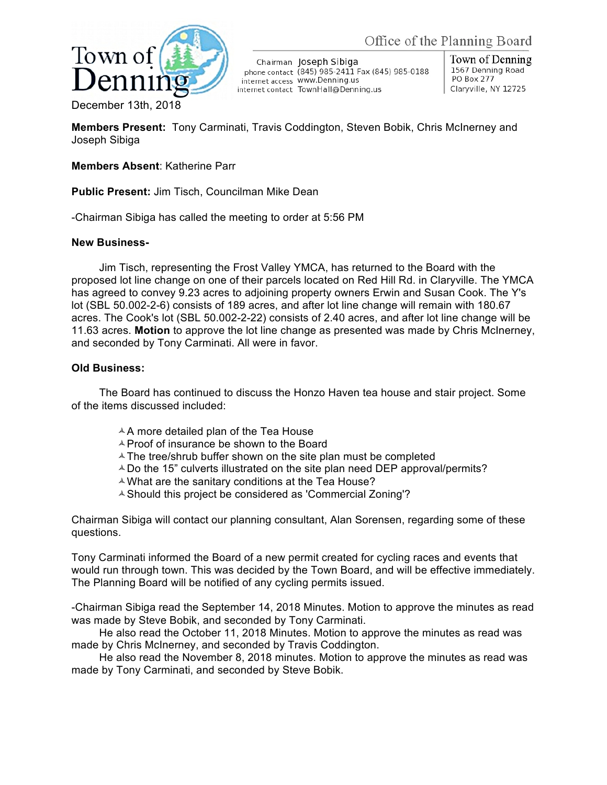

Chairman Joseph Sibiga phone contact (845) 985-2411 Fax (845) 985-0188 internet access WWW.Denning.us internet contact TownHall@Denning.us

Town of Denning 1567 Denning Road PO Box 277 Claryville, NY 12725

December 13th, 2018

**Members Present:** Tony Carminati, Travis Coddington, Steven Bobik, Chris McInerney and Joseph Sibiga

## **Members Absent**: Katherine Parr

**Public Present:** Jim Tisch, Councilman Mike Dean

-Chairman Sibiga has called the meeting to order at 5:56 PM

## **New Business-**

Jim Tisch, representing the Frost Valley YMCA, has returned to the Board with the proposed lot line change on one of their parcels located on Red Hill Rd. in Claryville. The YMCA has agreed to convey 9.23 acres to adjoining property owners Erwin and Susan Cook. The Y's lot (SBL 50.002-2-6) consists of 189 acres, and after lot line change will remain with 180.67 acres. The Cook's lot (SBL 50.002-2-22) consists of 2.40 acres, and after lot line change will be 11.63 acres. **Motion** to approve the lot line change as presented was made by Chris McInerney, and seconded by Tony Carminati. All were in favor.

## **Old Business:**

The Board has continued to discuss the Honzo Haven tea house and stair project. Some of the items discussed included:

- $A$  more detailed plan of the Tea House
- $\triangle$  Proof of insurance be shown to the Board
- $\triangle$  The tree/shrub buffer shown on the site plan must be completed
- $\triangle$  Do the 15" culverts illustrated on the site plan need DEP approval/permits?
- $\triangle$  What are the sanitary conditions at the Tea House?
- $\triangle$  Should this project be considered as 'Commercial Zoning'?

Chairman Sibiga will contact our planning consultant, Alan Sorensen, regarding some of these questions.

Tony Carminati informed the Board of a new permit created for cycling races and events that would run through town. This was decided by the Town Board, and will be effective immediately. The Planning Board will be notified of any cycling permits issued.

-Chairman Sibiga read the September 14, 2018 Minutes. Motion to approve the minutes as read was made by Steve Bobik, and seconded by Tony Carminati.

He also read the October 11, 2018 Minutes. Motion to approve the minutes as read was made by Chris McInerney, and seconded by Travis Coddington.

He also read the November 8, 2018 minutes. Motion to approve the minutes as read was made by Tony Carminati, and seconded by Steve Bobik.